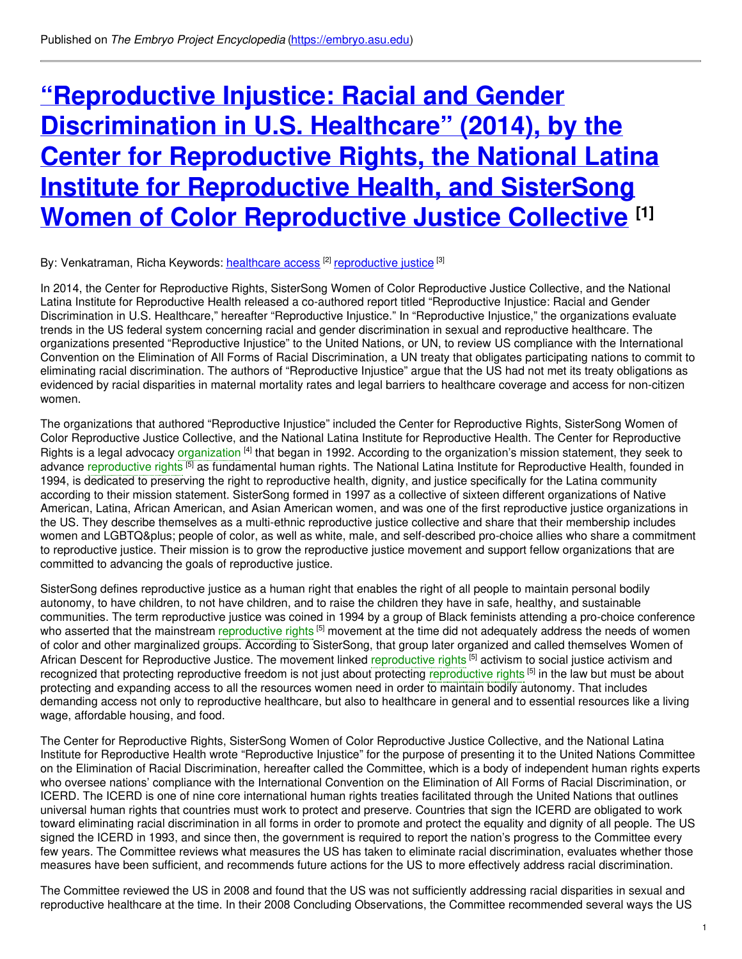# **"Reproductive Injustice: Racial and Gender [Discrimination](https://embryo.asu.edu/pages/reproductive-injustice-racial-and-gender-discrimination-us-healthcare-2014-center-reproductive) in U.S. Healthcare" (2014), by the Center for Reproductive Rights, the National Latina Institute for Reproductive Health, and SisterSong Women of Color Reproductive Justice Collective [1]**

#### By: Venkatraman, Richa Keywords: <u>[healthcare](https://embryo.asu.edu/keywords/healthcare-access) access</u> <sup>[2]</sup> [reproductive](https://embryo.asu.edu/keywords/reproductive-justice) justice <sup>[3]</sup>

In 2014, the Center for Reproductive Rights, SisterSong Women of Color Reproductive Justice Collective, and the National Latina Institute for Reproductive Health released a co-authored report titled "Reproductive Injustice: Racial and Gender Discrimination in U.S. Healthcare," hereafter "Reproductive Injustice." In "Reproductive Injustice," the organizations evaluate trends in the US federal system concerning racial and gender discrimination in sexual and reproductive healthcare. The organizations presented "Reproductive Injustice" to the United Nations, or UN, to review US compliance with the International Convention on the Elimination of All Forms of Racial Discrimination, a UN treaty that obligates participating nations to commit to eliminating racial discrimination. The authors of "Reproductive Injustice" argue that the US had not met its treaty obligations as evidenced by racial disparities in maternal mortality rates and legal barriers to healthcare coverage and access for non-citizen women.

The organizations that authored "Reproductive Injustice" included the Center for Reproductive Rights, SisterSong Women of Color Reproductive Justice Collective, and the National Latina Institute for Reproductive Health. The Center for Reproductive Rights is a legal advocacy [organization](https://embryo.asu.edu/search?text=organization) <sup>[4]</sup> that began in 1992. According to the organization's mission statement, they seek to advance [reproductive](https://embryo.asu.edu/search?text=reproductive%20rights) rights <sup>[5]</sup> as fundamental human rights. The National Latina Institute for Reproductive Health, founded in 1994, is dedicated to preserving the right to reproductive health, dignity, and justice specifically for the Latina community according to their mission statement. SisterSong formed in 1997 as a collective of sixteen different organizations of Native American, Latina, African American, and Asian American women, and was one of the first reproductive justice organizations in the US. They describe themselves as a multi-ethnic reproductive justice collective and share that their membership includes women and LGBTQ+ people of color, as well as white, male, and self-described pro-choice allies who share a commitment to reproductive justice. Their mission is to grow the reproductive justice movement and support fellow organizations that are committed to advancing the goals of reproductive justice.

SisterSong defines reproductive justice as a human right that enables the right of all people to maintain personal bodily autonomy, to have children, to not have children, and to raise the children they have in safe, healthy, and sustainable communities. The term reproductive justice was coined in 1994 by a group of Black feminists attending a pro-choice conference who asserted that the mainstream [reproductive](https://embryo.asu.edu/search?text=reproductive%20rights) rights <sup>[5]</sup> movement at the time did not adequately address the needs of women of color and other marginalized groups. According to SisterSong, that group later organized and called themselves Women of African Descent for Reproductive Justice. The movement linked [reproductive](https://embryo.asu.edu/search?text=reproductive%20rights) rights <sup>[5]</sup> activism to social justice activism and recognized that protecting [reproductive](https://embryo.asu.edu/search?text=reproductive%20rights) freedom is not just about protecting reproductive rights <sup>[5]</sup> in the law but must be about protecting and expanding access to all the resources women need in order to maintain bodily autonomy. That includes demanding access not only to reproductive healthcare, but also to healthcare in general and to essential resources like a living wage, affordable housing, and food.

The Center for Reproductive Rights, SisterSong Women of Color Reproductive Justice Collective, and the National Latina Institute for Reproductive Health wrote "Reproductive Injustice" for the purpose of presenting it to the United Nations Committee on the Elimination of Racial Discrimination, hereafter called the Committee, which is a body of independent human rights experts who oversee nations' compliance with the International Convention on the Elimination of All Forms of Racial Discrimination, or ICERD. The ICERD is one of nine core international human rights treaties facilitated through the United Nations that outlines universal human rights that countries must work to protect and preserve. Countries that sign the ICERD are obligated to work toward eliminating racial discrimination in all forms in order to promote and protect the equality and dignity of all people. The US signed the ICERD in 1993, and since then, the government is required to report the nation's progress to the Committee every few years. The Committee reviews what measures the US has taken to eliminate racial discrimination, evaluates whether those measures have been sufficient, and recommends future actions for the US to more effectively address racial discrimination.

The Committee reviewed the US in 2008 and found that the US was not sufficiently addressing racial disparities in sexual and reproductive healthcare at the time. In their 2008 Concluding Observations, the Committee recommended several ways the US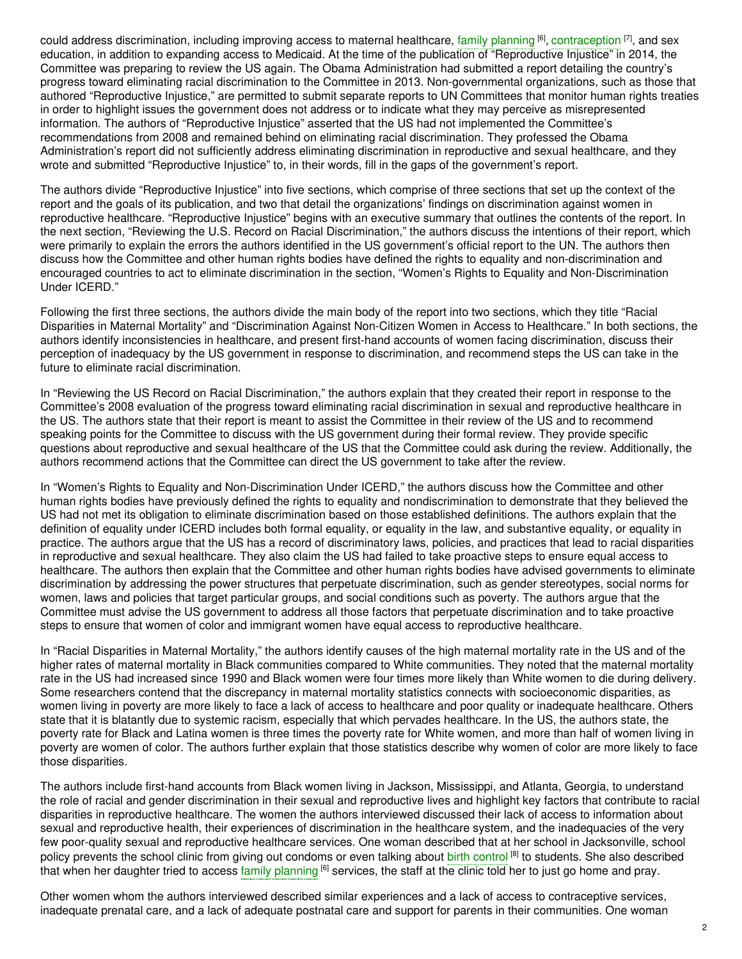could address discrimination, including improving access to maternal healthcare, family [planning](https://embryo.asu.edu/search?text=family%20planning) <sup>[6]</sup>, [contraception](https://embryo.asu.edu/search?text=contraception) <sup>[7]</sup>, and sex education, in addition to expanding access to Medicaid. At the time of the publication of "Reproductive Injustice" in 2014, the Committee was preparing to review the US again. The Obama Administration had submitted a report detailing the country's progress toward eliminating racial discrimination to the Committee in 2013. Non-governmental organizations, such as those that authored "Reproductive Injustice," are permitted to submit separate reports to UN Committees that monitor human rights treaties in order to highlight issues the government does not address or to indicate what they may perceive as misrepresented information. The authors of "Reproductive Injustice" asserted that the US had not implemented the Committee's recommendations from 2008 and remained behind on eliminating racial discrimination. They professed the Obama Administration's report did not sufficiently address eliminating discrimination in reproductive and sexual healthcare, and they wrote and submitted "Reproductive Injustice" to, in their words, fill in the gaps of the government's report.

The authors divide "Reproductive Injustice" into five sections, which comprise of three sections that set up the context of the report and the goals of its publication, and two that detail the organizations' findings on discrimination against women in reproductive healthcare. "Reproductive Injustice" begins with an executive summary that outlines the contents of the report. In the next section, "Reviewing the U.S. Record on Racial Discrimination," the authors discuss the intentions of their report, which were primarily to explain the errors the authors identified in the US government's official report to the UN. The authors then discuss how the Committee and other human rights bodies have defined the rights to equality and non-discrimination and encouraged countries to act to eliminate discrimination in the section, "Women's Rights to Equality and Non-Discrimination Under ICERD."

Following the first three sections, the authors divide the main body of the report into two sections, which they title "Racial Disparities in Maternal Mortality" and "Discrimination Against Non-Citizen Women in Access to Healthcare." In both sections, the authors identify inconsistencies in healthcare, and present first-hand accounts of women facing discrimination, discuss their perception of inadequacy by the US government in response to discrimination, and recommend steps the US can take in the future to eliminate racial discrimination.

In "Reviewing the US Record on Racial Discrimination," the authors explain that they created their report in response to the Committee's 2008 evaluation of the progress toward eliminating racial discrimination in sexual and reproductive healthcare in the US. The authors state that their report is meant to assist the Committee in their review of the US and to recommend speaking points for the Committee to discuss with the US government during their formal review. They provide specific questions about reproductive and sexual healthcare of the US that the Committee could ask during the review. Additionally, the authors recommend actions that the Committee can direct the US government to take after the review.

In "Women's Rights to Equality and Non-Discrimination Under ICERD," the authors discuss how the Committee and other human rights bodies have previously defined the rights to equality and nondiscrimination to demonstrate that they believed the US had not met its obligation to eliminate discrimination based on those established definitions. The authors explain that the definition of equality under ICERD includes both formal equality, or equality in the law, and substantive equality, or equality in practice. The authors argue that the US has a record of discriminatory laws, policies, and practices that lead to racial disparities in reproductive and sexual healthcare. They also claim the US had failed to take proactive steps to ensure equal access to healthcare. The authors then explain that the Committee and other human rights bodies have advised governments to eliminate discrimination by addressing the power structures that perpetuate discrimination, such as gender stereotypes, social norms for women, laws and policies that target particular groups, and social conditions such as poverty. The authors argue that the Committee must advise the US government to address all those factors that perpetuate discrimination and to take proactive steps to ensure that women of color and immigrant women have equal access to reproductive healthcare.

In "Racial Disparities in Maternal Mortality," the authors identify causes of the high maternal mortality rate in the US and of the higher rates of maternal mortality in Black communities compared to White communities. They noted that the maternal mortality rate in the US had increased since 1990 and Black women were four times more likely than White women to die during delivery. Some researchers contend that the discrepancy in maternal mortality statistics connects with socioeconomic disparities, as women living in poverty are more likely to face a lack of access to healthcare and poor quality or inadequate healthcare. Others state that it is blatantly due to systemic racism, especially that which pervades healthcare. In the US, the authors state, the poverty rate for Black and Latina women is three times the poverty rate for White women, and more than half of women living in poverty are women of color. The authors further explain that those statistics describe why women of color are more likely to face those disparities.

The authors include first-hand accounts from Black women living in Jackson, Mississippi, and Atlanta, Georgia, to understand the role of racial and gender discrimination in their sexual and reproductive lives and highlight key factors that contribute to racial disparities in reproductive healthcare. The women the authors interviewed discussed their lack of access to information about sexual and reproductive health, their experiences of discrimination in the healthcare system, and the inadequacies of the very few poor-quality sexual and reproductive healthcare services. One woman described that at her school in Jacksonville, school policy prevents the school clinic from giving out condoms or even talking about birth [control](https://embryo.asu.edu/search?text=birth%20control) [8] to students. She also described that when her daughter tried to access family [planning](https://embryo.asu.edu/search?text=family%20planning) <sup>[6]</sup> services, the staff at the clinic told her to just go home and pray.

Other women whom the authors interviewed described similar experiences and a lack of access to contraceptive services, inadequate prenatal care, and a lack of adequate postnatal care and support for parents in their communities. One woman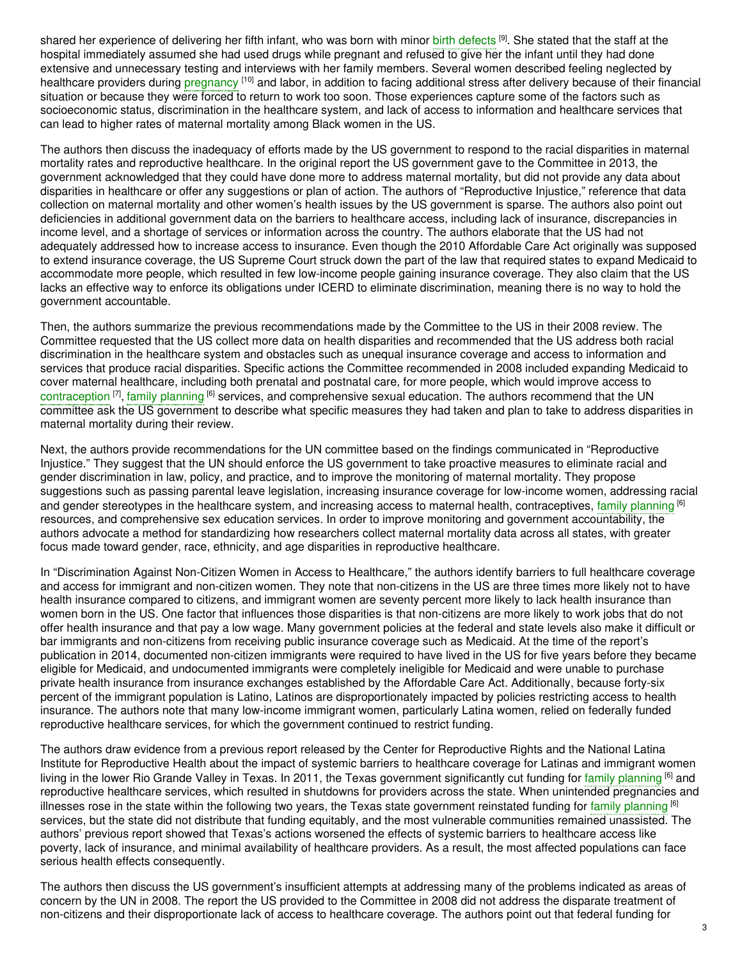shared her experience of delivering her fifth infant, who was born with minor birth [defects](https://embryo.asu.edu/search?text=birth%20defects) [9]. She stated that the staff at the hospital immediately assumed she had used drugs while pregnant and refused to give her the infant until they had done extensive and unnecessary testing and interviews with her family members. Several women described feeling neglected by healthcare providers during [pregnancy](https://embryo.asu.edu/search?text=pregnancy) [10] and labor, in addition to facing additional stress after delivery because of their financial situation or because they were forced to return to work too soon. Those experiences capture some of the factors such as socioeconomic status, discrimination in the healthcare system, and lack of access to information and healthcare services that can lead to higher rates of maternal mortality among Black women in the US.

The authors then discuss the inadequacy of efforts made by the US government to respond to the racial disparities in maternal mortality rates and reproductive healthcare. In the original report the US government gave to the Committee in 2013, the government acknowledged that they could have done more to address maternal mortality, but did not provide any data about disparities in healthcare or offer any suggestions or plan of action. The authors of "Reproductive Injustice," reference that data collection on maternal mortality and other women's health issues by the US government is sparse. The authors also point out deficiencies in additional government data on the barriers to healthcare access, including lack of insurance, discrepancies in income level, and a shortage of services or information across the country. The authors elaborate that the US had not adequately addressed how to increase access to insurance. Even though the 2010 Affordable Care Act originally was supposed to extend insurance coverage, the US Supreme Court struck down the part of the law that required states to expand Medicaid to accommodate more people, which resulted in few low-income people gaining insurance coverage. They also claim that the US lacks an effective way to enforce its obligations under ICERD to eliminate discrimination, meaning there is no way to hold the government accountable.

Then, the authors summarize the previous recommendations made by the Committee to the US in their 2008 review. The Committee requested that the US collect more data on health disparities and recommended that the US address both racial discrimination in the healthcare system and obstacles such as unequal insurance coverage and access to information and services that produce racial disparities. Specific actions the Committee recommended in 2008 included expanding Medicaid to cover maternal healthcare, including both prenatal and postnatal care, for more people, which would improve access to [contraception](https://embryo.asu.edu/search?text=contraception) <sup>[7]</sup>, family [planning](https://embryo.asu.edu/search?text=family%20planning) <sup>[6]</sup> services, and comprehensive sexual education. The authors recommend that the UN committee ask the US government to describe what specific measures they had taken and plan to take to address disparities in maternal mortality during their review.

Next, the authors provide recommendations for the UN committee based on the findings communicated in "Reproductive Injustice." They suggest that the UN should enforce the US government to take proactive measures to eliminate racial and gender discrimination in law, policy, and practice, and to improve the monitoring of maternal mortality. They propose suggestions such as passing parental leave legislation, increasing insurance coverage for low-income women, addressing racial and gender stereotypes in the healthcare system, and increasing access to maternal health, contraceptives, family [planning](https://embryo.asu.edu/search?text=family%20planning) <sup>[6]</sup> resources, and comprehensive sex education services. In order to improve monitoring and government accountability, the authors advocate a method for standardizing how researchers collect maternal mortality data across all states, with greater focus made toward gender, race, ethnicity, and age disparities in reproductive healthcare.

In "Discrimination Against Non-Citizen Women in Access to Healthcare," the authors identify barriers to full healthcare coverage and access for immigrant and non-citizen women. They note that non-citizens in the US are three times more likely not to have health insurance compared to citizens, and immigrant women are seventy percent more likely to lack health insurance than women born in the US. One factor that influences those disparities is that non-citizens are more likely to work jobs that do not offer health insurance and that pay a low wage. Many government policies at the federal and state levels also make it difficult or bar immigrants and non-citizens from receiving public insurance coverage such as Medicaid. At the time of the report's publication in 2014, documented non-citizen immigrants were required to have lived in the US for five years before they became eligible for Medicaid, and undocumented immigrants were completely ineligible for Medicaid and were unable to purchase private health insurance from insurance exchanges established by the Affordable Care Act. Additionally, because forty-six percent of the immigrant population is Latino, Latinos are disproportionately impacted by policies restricting access to health insurance. The authors note that many low-income immigrant women, particularly Latina women, relied on federally funded reproductive healthcare services, for which the government continued to restrict funding.

The authors draw evidence from a previous report released by the Center for Reproductive Rights and the National Latina Institute for Reproductive Health about the impact of systemic barriers to healthcare coverage for Latinas and immigrant women living in the lower Rio Grande Valley in Texas. In 2011, the Texas government significantly cut funding for family [planning](https://embryo.asu.edu/search?text=family%20planning) <sup>[6]</sup> and reproductive healthcare services, which resulted in shutdowns for providers across the state. When unintended pregnancies and illnesses rose in the state within the following two years, the Texas state government reinstated funding for family [planning](https://embryo.asu.edu/search?text=family%20planning) <sup>[6]</sup> services, but the state did not distribute that funding equitably, and the most vulnerable communities remained unassisted. The authors' previous report showed that Texas's actions worsened the effects of systemic barriers to healthcare access like poverty, lack of insurance, and minimal availability of healthcare providers. As a result, the most affected populations can face serious health effects consequently.

The authors then discuss the US government's insufficient attempts at addressing many of the problems indicated as areas of concern by the UN in 2008. The report the US provided to the Committee in 2008 did not address the disparate treatment of non-citizens and their disproportionate lack of access to healthcare coverage. The authors point out that federal funding for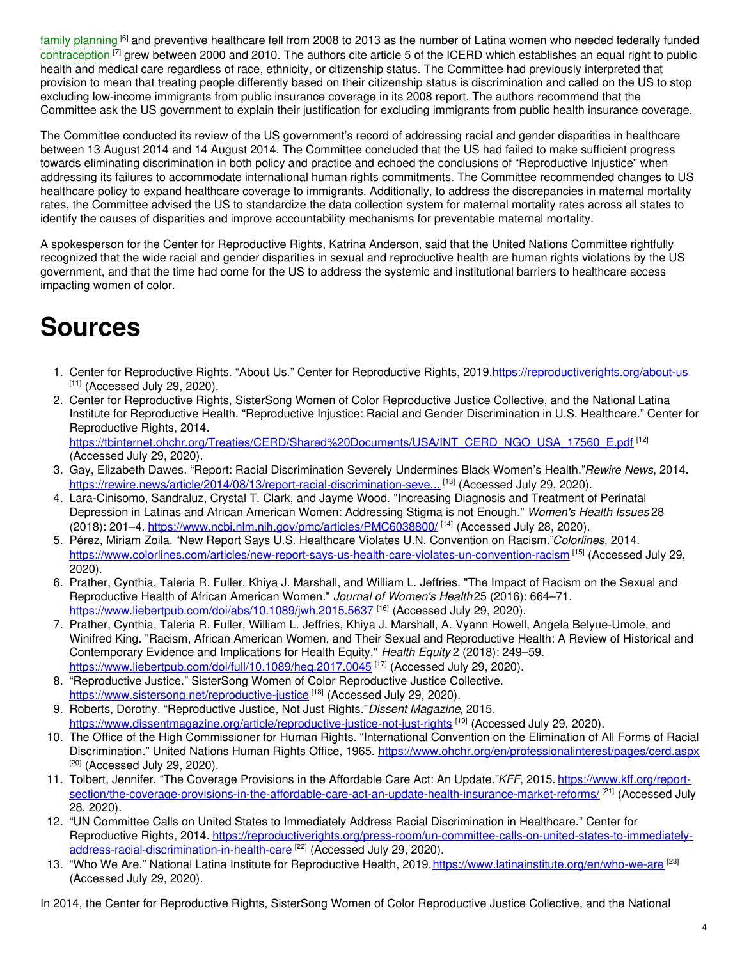family [planning](https://embryo.asu.edu/search?text=family%20planning) <sup>[6]</sup> and preventive healthcare fell from 2008 to 2013 as the number of Latina women who needed federally funded [contraception](https://embryo.asu.edu/search?text=contraception) <sup>[7]</sup> grew between 2000 and 2010. The authors cite article 5 of the ICERD which establishes an equal right to public health and medical care regardless of race, ethnicity, or citizenship status. The Committee had previously interpreted that provision to mean that treating people differently based on their citizenship status is discrimination and called on the US to stop excluding low-income immigrants from public insurance coverage in its 2008 report. The authors recommend that the Committee ask the US government to explain their justification for excluding immigrants from public health insurance coverage.

The Committee conducted its review of the US government's record of addressing racial and gender disparities in healthcare between 13 August 2014 and 14 August 2014. The Committee concluded that the US had failed to make sufficient progress towards eliminating discrimination in both policy and practice and echoed the conclusions of "Reproductive Injustice" when addressing its failures to accommodate international human rights commitments. The Committee recommended changes to US healthcare policy to expand healthcare coverage to immigrants. Additionally, to address the discrepancies in maternal mortality rates, the Committee advised the US to standardize the data collection system for maternal mortality rates across all states to identify the causes of disparities and improve accountability mechanisms for preventable maternal mortality.

A spokesperson for the Center for Reproductive Rights, Katrina Anderson, said that the United Nations Committee rightfully recognized that the wide racial and gender disparities in sexual and reproductive health are human rights violations by the US government, and that the time had come for the US to address the systemic and institutional barriers to healthcare access impacting women of color.

# **Sources**

- 1. Center for Reproductive Rights. "About Us." Center for Reproductive Rights, 2019[.https://reproductiverights.org/about-us](https://reproductiverights.org/about-us)  $[11]$  (Accessed July 29, 2020).
- 2. Center for Reproductive Rights, SisterSong Women of Color Reproductive Justice Collective, and the National Latina Institute for Reproductive Health. "Reproductive Injustice: Racial and Gender Discrimination in U.S. Healthcare." Center for Reproductive Rights, 2014. [https://tbinternet.ohchr.org/Treaties/CERD/Shared%20Documents/USA/INT\\_CERD\\_NGO\\_USA\\_17560\\_E.pdf](https://tbinternet.ohchr.org/Treaties/CERD/Shared%20Documents/USA/INT_CERD_NGO_USA_17560_E.pdf) [12]

(Accessed July 29, 2020). 3. Gay, Elizabeth Dawes. "Report: Racial Discrimination Severely Undermines Black Women's Health."*Rewire News*, 2014.

- [https://rewire.news/article/2014/08/13/report-racial-discrimination-seve...](https://rewire.news/article/2014/08/13/report-racial-discrimination-severely-undermines-black-womens-health/)<sup>[13]</sup> (Accessed July 29, 2020). 4. Lara-Cinisomo, Sandraluz, Crystal T. Clark, and Jayme Wood. "Increasing Diagnosis and Treatment of Perinatal Depression in Latinas and African American Women: Addressing Stigma is not Enough." *Women's Health Issues* 28 (2018): 201–4. <u><https://www.ncbi.nlm.nih.gov/pmc/articles/PMC6038800/></u> <sup>[14]</sup> (Accessed July 28, 2020).
- 5. Pérez, Miriam Zoila. "New Report Says U.S. Healthcare Violates U.N. Convention on Racism."*Colorlines*, 2014. <https://www.colorlines.com/articles/new-report-says-us-health-care-violates-un-convention-racism> [15] (Accessed July 29, 2020).
- 6. Prather, Cynthia, Taleria R. Fuller, Khiya J. Marshall, and William L. Jeffries. "The Impact of Racism on the Sexual and Reproductive Health of African American Women." *Journal of Women's Health*25 (2016): 664–71. <https://www.liebertpub.com/doi/abs/10.1089/jwh.2015.5637> [16] (Accessed July 29, 2020).
- 7. Prather, Cynthia, Taleria R. Fuller, William L. Jeffries, Khiya J. Marshall, A. Vyann Howell, Angela Belyue-Umole, and Winifred King. "Racism, African American Women, and Their Sexual and Reproductive Health: A Review of Historical and Contemporary Evidence and Implications for Health Equity." *Health Equity* 2 (2018): 249–59. <https://www.liebertpub.com/doi/full/10.1089/heq.2017.0045> <sup>[17]</sup> (Accessed July 29, 2020).
- 8. "Reproductive Justice." SisterSong Women of Color Reproductive Justice Collective. <https://www.sistersong.net/reproductive-justice><sup>[18]</sup> (Accessed July 29, 2020).
- 9. Roberts, Dorothy. "Reproductive Justice, Not Just Rights."*Dissent Magazine*, 2015. <u><https://www.dissentmagazine.org/article/reproductive-justice-not-just-rights></u> <sup>[19]</sup> (Accessed July 29, 2020).
- 10. The Office of the High Commissioner for Human Rights. "International Convention on the Elimination of All Forms of Racial Discrimination." United Nations Human Rights Office, 1965. <https://www.ohchr.org/en/professionalinterest/pages/cerd.aspx>  $[20]$  (Accessed July 29, 2020).
- 11. Tolbert, Jennifer. "The Coverage Provisions in the Affordable Care Act: An Update."*KFF*, 2015. https://www.kff.org/report[section/the-coverage-provisions-in-the-affordable-care-act-an-update-health-insurance-market-reforms/](https://www.kff.org/report-section/the-coverage-provisions-in-the-affordable-care-act-an-update-health-insurance-market-reforms/) [21] (Accessed July 28, 2020).
- 12. "UN Committee Calls on United States to Immediately Address Racial Discrimination in Healthcare." Center for Reproductive Rights, 2014. [https://reproductiverights.org/press-room/un-committee-calls-on-united-states-to-immediately](https://reproductiverights.org/press-room/un-committee-calls-on-united-states-to-immediately-address-racial-discrimination-in-health-care)address-racial-discrimination-in-health-care <sup>[22]</sup> (Accessed July 29, 2020).
- 13. "Who We Are." National Latina Institute for Reproductive Health, 2019. <https://www.latinainstitute.org/en/who-we-are> <sup>[23]</sup> (Accessed July 29, 2020).

In 2014, the Center for Reproductive Rights, SisterSong Women of Color Reproductive Justice Collective, and the National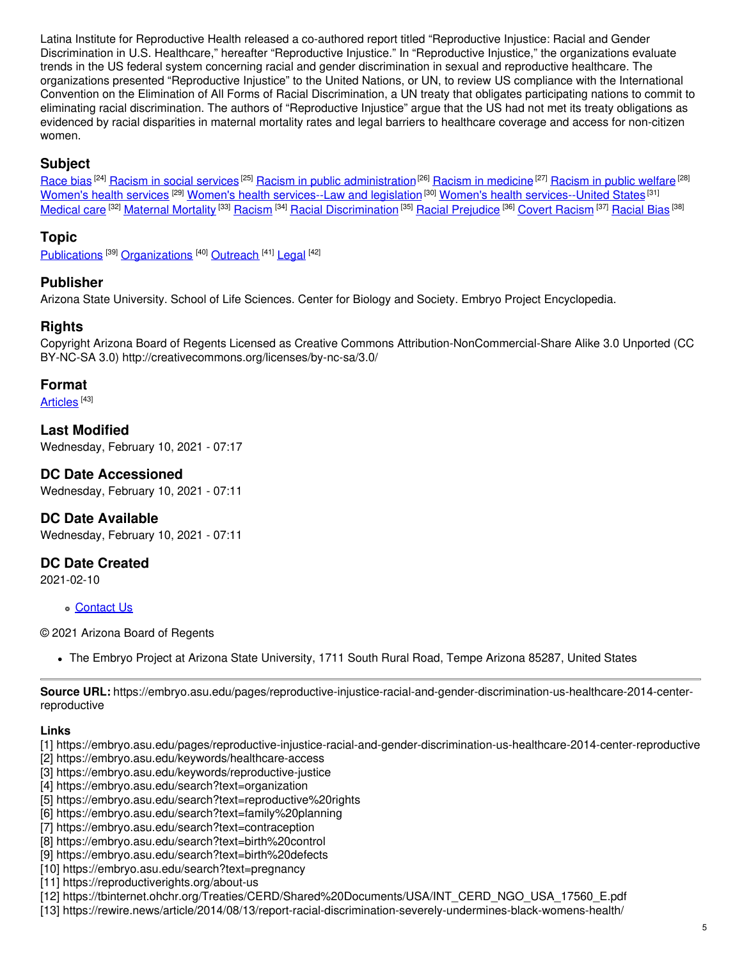Latina Institute for Reproductive Health released a co-authored report titled "Reproductive Injustice: Racial and Gender Discrimination in U.S. Healthcare," hereafter "Reproductive Injustice." In "Reproductive Injustice," the organizations evaluate trends in the US federal system concerning racial and gender discrimination in sexual and reproductive healthcare. The organizations presented "Reproductive Injustice" to the United Nations, or UN, to review US compliance with the International Convention on the Elimination of All Forms of Racial Discrimination, a UN treaty that obligates participating nations to commit to eliminating racial discrimination. The authors of "Reproductive Injustice" argue that the US had not met its treaty obligations as evidenced by racial disparities in maternal mortality rates and legal barriers to healthcare coverage and access for non-citizen women.

# **Subject**

[Race](https://embryo.asu.edu/library-congress-subject-headings/race-bias) bias <sup>[24]</sup> Racism in social [services](https://embryo.asu.edu/library-congress-subject-headings/racism-social-services) <sup>[25]</sup> Racism in public [administration](https://embryo.asu.edu/library-congress-subject-headings/racism-public-administration)<sup>[26]</sup> Racism in [medicine](https://embryo.asu.edu/library-congress-subject-headings/racism-medicine) <sup>[27]</sup> [Racism](https://embryo.asu.edu/library-congress-subject-headings/racism-public-welfare) in public welfare <sup>[28]</sup> [Women's](https://embryo.asu.edu/library-congress-subject-headings/womens-health-services) health services <sup>[29]</sup> Women's health [services--Law](https://embryo.asu.edu/library-congress-subject-headings/womens-health-services-law-and-legislation) and legislation <sup>[30]</sup> Women's health [services--United](https://embryo.asu.edu/library-congress-subject-headings/womens-health-services-united-states) States <sup>[31]</sup> <u>[Medical](https://embryo.asu.edu/library-congress-subject-headings/medical-care) care [32] [Maternal](https://embryo.asu.edu/medical-subject-headings/maternal-mortality) Mortality [33] [Racism](https://embryo.asu.edu/medical-subject-headings/covert-racism) [34] Racial [Discrimination](https://embryo.asu.edu/medical-subject-headings/racial-discrimination) [35] Racial [Prejudice](https://embryo.asu.edu/medical-subject-headings/racial-prejudice) [36] Covert Racism [37] [Racial](https://embryo.asu.edu/medical-subject-headings/racial-bias) Bias [38]</u>

## **Topic**

[Publications](https://embryo.asu.edu/topics/publications) <sup>[39]</sup> [Organizations](https://embryo.asu.edu/topics/organizations) <sup>[40]</sup> [Outreach](https://embryo.asu.edu/topics/outreach) <sup>[41]</sup> [Legal](https://embryo.asu.edu/topics/legal) <sup>[42]</sup>

### **Publisher**

Arizona State University. School of Life Sciences. Center for Biology and Society. Embryo Project Encyclopedia.

### **Rights**

Copyright Arizona Board of Regents Licensed as Creative Commons Attribution-NonCommercial-Share Alike 3.0 Unported (CC BY-NC-SA 3.0) http://creativecommons.org/licenses/by-nc-sa/3.0/

#### **Format**

[Articles](https://embryo.asu.edu/formats/articles) <sup>[43]</sup>

**Last Modified** Wednesday, February 10, 2021 - 07:17

### **DC Date Accessioned**

Wednesday, February 10, 2021 - 07:11

### **DC Date Available**

Wednesday, February 10, 2021 - 07:11

### **DC Date Created**

2021-02-10

[Contact](https://embryo.asu.edu/contact) Us

© 2021 Arizona Board of Regents

The Embryo Project at Arizona State University, 1711 South Rural Road, Tempe Arizona 85287, United States

**Source URL:** https://embryo.asu.edu/pages/reproductive-injustice-racial-and-gender-discrimination-us-healthcare-2014-centerreproductive

#### **Links**

- [1] https://embryo.asu.edu/pages/reproductive-injustice-racial-and-gender-discrimination-us-healthcare-2014-center-reproductive
- [2] https://embryo.asu.edu/keywords/healthcare-access
- [3] https://embryo.asu.edu/keywords/reproductive-justice
- [4] https://embryo.asu.edu/search?text=organization
- [5] https://embryo.asu.edu/search?text=reproductive%20rights
- [6] https://embryo.asu.edu/search?text=family%20planning
- [7] https://embryo.asu.edu/search?text=contraception
- [8] https://embryo.asu.edu/search?text=birth%20control
- [9] https://embryo.asu.edu/search?text=birth%20defects
- [10] https://embryo.asu.edu/search?text=pregnancy
- [11] https://reproductiverights.org/about-us
- [12] https://tbinternet.ohchr.org/Treaties/CERD/Shared%20Documents/USA/INT\_CERD\_NGO\_USA\_17560\_E.pdf
- [13] https://rewire.news/article/2014/08/13/report-racial-discrimination-severely-undermines-black-womens-health/